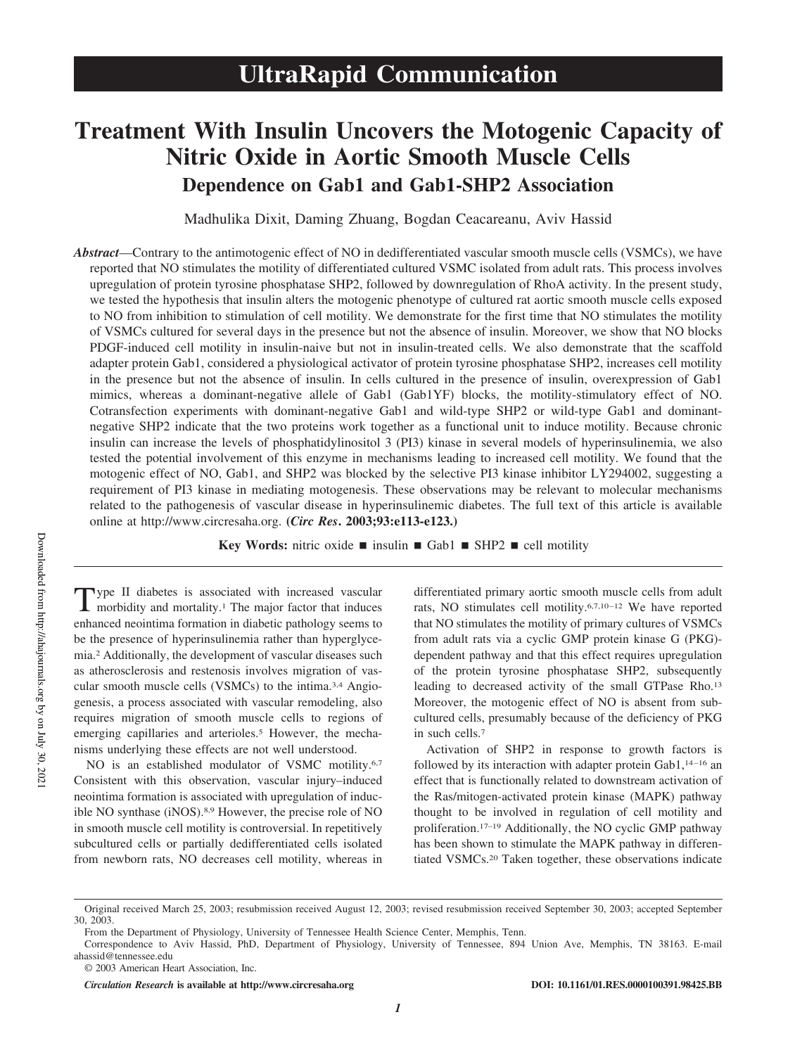# **Treatment With Insulin Uncovers the Motogenic Capacity of Nitric Oxide in Aortic Smooth Muscle Cells Dependence on Gab1 and Gab1-SHP2 Association**

Madhulika Dixit, Daming Zhuang, Bogdan Ceacareanu, Aviv Hassid

*Abstract*—Contrary to the antimotogenic effect of NO in dedifferentiated vascular smooth muscle cells (VSMCs), we have reported that NO stimulates the motility of differentiated cultured VSMC isolated from adult rats. This process involves upregulation of protein tyrosine phosphatase SHP2, followed by downregulation of RhoA activity. In the present study, we tested the hypothesis that insulin alters the motogenic phenotype of cultured rat aortic smooth muscle cells exposed to NO from inhibition to stimulation of cell motility. We demonstrate for the first time that NO stimulates the motility of VSMCs cultured for several days in the presence but not the absence of insulin. Moreover, we show that NO blocks PDGF-induced cell motility in insulin-naive but not in insulin-treated cells. We also demonstrate that the scaffold adapter protein Gab1, considered a physiological activator of protein tyrosine phosphatase SHP2, increases cell motility in the presence but not the absence of insulin. In cells cultured in the presence of insulin, overexpression of Gab1 mimics, whereas a dominant-negative allele of Gab1 (Gab1YF) blocks, the motility-stimulatory effect of NO. Cotransfection experiments with dominant-negative Gab1 and wild-type SHP2 or wild-type Gab1 and dominantnegative SHP2 indicate that the two proteins work together as a functional unit to induce motility. Because chronic insulin can increase the levels of phosphatidylinositol 3 (PI3) kinase in several models of hyperinsulinemia, we also tested the potential involvement of this enzyme in mechanisms leading to increased cell motility. We found that the motogenic effect of NO, Gab1, and SHP2 was blocked by the selective PI3 kinase inhibitor LY294002, suggesting a requirement of PI3 kinase in mediating motogenesis. These observations may be relevant to molecular mechanisms related to the pathogenesis of vascular disease in hyperinsulinemic diabetes. The full text of this article is available online at http://www.circresaha.org. **(***Circ Res***. 2003;93:e113-e123.)**

**Key Words:** nitric oxide  $\blacksquare$  insulin  $\blacksquare$  Gab1  $\blacksquare$  SHP2  $\blacksquare$  cell motility

Type II diabetes is associated with increased vascular morbidity and mortality.<sup>1</sup> The major factor that induces ype II diabetes is associated with increased vascular enhanced neointima formation in diabetic pathology seems to be the presence of hyperinsulinemia rather than hyperglycemia.<sup>2</sup> Additionally, the development of vascular diseases such as atherosclerosis and restenosis involves migration of vascular smooth muscle cells (VSMCs) to the intima.3,4 Angiogenesis, a process associated with vascular remodeling, also requires migration of smooth muscle cells to regions of emerging capillaries and arterioles.<sup>5</sup> However, the mechanisms underlying these effects are not well understood.

NO is an established modulator of VSMC motility.<sup>6,7</sup> Consistent with this observation, vascular injury–induced neointima formation is associated with upregulation of inducible NO synthase (iNOS).8,9 However, the precise role of NO in smooth muscle cell motility is controversial. In repetitively subcultured cells or partially dedifferentiated cells isolated from newborn rats, NO decreases cell motility, whereas in differentiated primary aortic smooth muscle cells from adult rats, NO stimulates cell motility.6,7,10–12 We have reported that NO stimulates the motility of primary cultures of VSMCs from adult rats via a cyclic GMP protein kinase G (PKG) dependent pathway and that this effect requires upregulation of the protein tyrosine phosphatase SHP2, subsequently leading to decreased activity of the small GTPase Rho.<sup>13</sup> Moreover, the motogenic effect of NO is absent from subcultured cells, presumably because of the deficiency of PKG in such cells.<sup>7</sup>

Activation of SHP2 in response to growth factors is followed by its interaction with adapter protein Gab1,<sup>14-16</sup> an effect that is functionally related to downstream activation of the Ras/mitogen-activated protein kinase (MAPK) pathway thought to be involved in regulation of cell motility and proliferation.17–19 Additionally, the NO cyclic GMP pathway has been shown to stimulate the MAPK pathway in differentiated VSMCs.<sup>20</sup> Taken together, these observations indicate

*Circulation Research* **is available at http://www.circresaha.org DOI: 10.1161/01.RES.0000100391.98425.BB**

Original received March 25, 2003; resubmission received August 12, 2003; revised resubmission received September 30, 2003; accepted September 30, 2003.

From the Department of Physiology, University of Tennessee Health Science Center, Memphis, Tenn.

Correspondence to Aviv Hassid, PhD, Department of Physiology, University of Tennessee, 894 Union Ave, Memphis, TN 38163. E-mail ahassid@tennessee.edu

<sup>© 2003</sup> American Heart Association, Inc.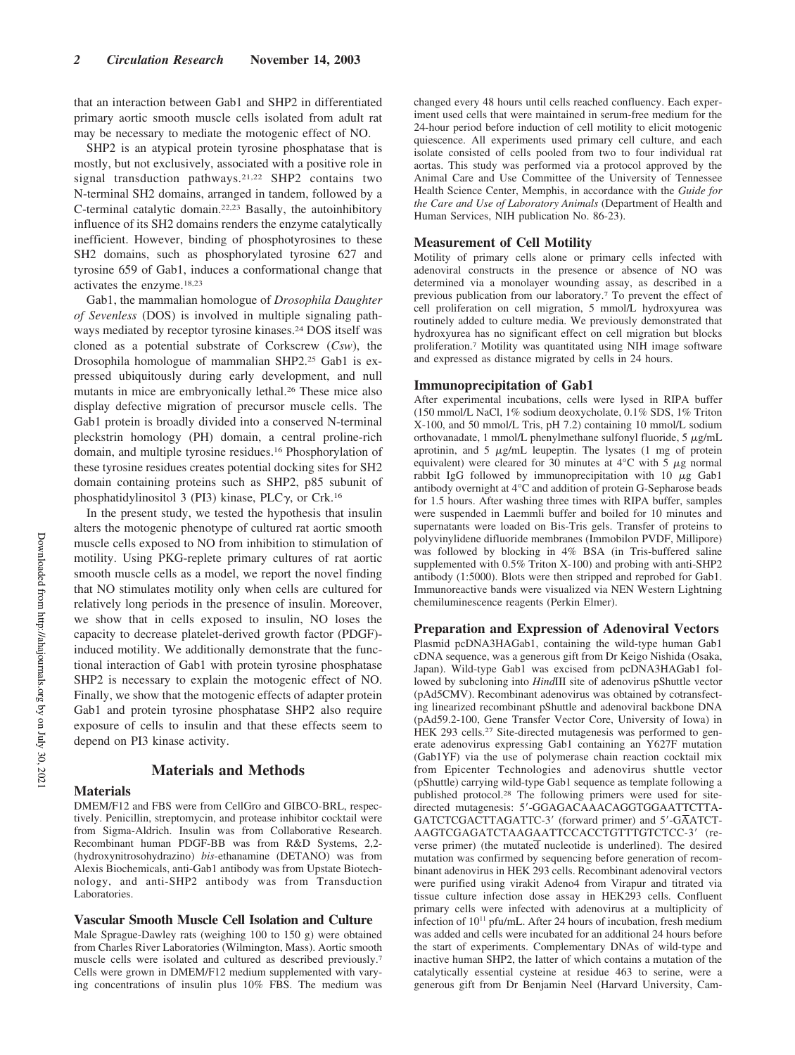that an interaction between Gab1 and SHP2 in differentiated primary aortic smooth muscle cells isolated from adult rat may be necessary to mediate the motogenic effect of NO.

SHP2 is an atypical protein tyrosine phosphatase that is mostly, but not exclusively, associated with a positive role in signal transduction pathways.21,22 SHP2 contains two N-terminal SH2 domains, arranged in tandem, followed by a C-terminal catalytic domain.22,23 Basally, the autoinhibitory influence of its SH2 domains renders the enzyme catalytically inefficient. However, binding of phosphotyrosines to these SH2 domains, such as phosphorylated tyrosine 627 and tyrosine 659 of Gab1, induces a conformational change that activates the enzyme.18,23

Gab1, the mammalian homologue of *Drosophila Daughter of Sevenless* (DOS) is involved in multiple signaling pathways mediated by receptor tyrosine kinases.<sup>24</sup> DOS itself was cloned as a potential substrate of Corkscrew (*Csw*), the Drosophila homologue of mammalian SHP2.<sup>25</sup> Gab1 is expressed ubiquitously during early development, and null mutants in mice are embryonically lethal.<sup>26</sup> These mice also display defective migration of precursor muscle cells. The Gab1 protein is broadly divided into a conserved N-terminal pleckstrin homology (PH) domain, a central proline-rich domain, and multiple tyrosine residues.<sup>16</sup> Phosphorylation of these tyrosine residues creates potential docking sites for SH2 domain containing proteins such as SHP2, p85 subunit of phosphatidylinositol 3 (PI3) kinase, PLC $\gamma$ , or Crk.<sup>16</sup>

In the present study, we tested the hypothesis that insulin alters the motogenic phenotype of cultured rat aortic smooth muscle cells exposed to NO from inhibition to stimulation of motility. Using PKG-replete primary cultures of rat aortic smooth muscle cells as a model, we report the novel finding that NO stimulates motility only when cells are cultured for relatively long periods in the presence of insulin. Moreover, we show that in cells exposed to insulin, NO loses the capacity to decrease platelet-derived growth factor (PDGF) induced motility. We additionally demonstrate that the functional interaction of Gab1 with protein tyrosine phosphatase SHP2 is necessary to explain the motogenic effect of NO. Finally, we show that the motogenic effects of adapter protein Gab1 and protein tyrosine phosphatase SHP2 also require exposure of cells to insulin and that these effects seem to depend on PI3 kinase activity.

## **Materials and Methods**

#### **Materials**

DMEM/F12 and FBS were from CellGro and GIBCO-BRL, respectively. Penicillin, streptomycin, and protease inhibitor cocktail were from Sigma-Aldrich. Insulin was from Collaborative Research. Recombinant human PDGF-BB was from R&D Systems, 2,2- (hydroxynitrosohydrazino) *bis*-ethanamine (DETANO) was from Alexis Biochemicals, anti-Gab1 antibody was from Upstate Biotechnology, and anti-SHP2 antibody was from Transduction Laboratories.

#### **Vascular Smooth Muscle Cell Isolation and Culture**

Male Sprague-Dawley rats (weighing 100 to 150 g) were obtained from Charles River Laboratories (Wilmington, Mass). Aortic smooth muscle cells were isolated and cultured as described previously.<sup>7</sup> Cells were grown in DMEM/F12 medium supplemented with varying concentrations of insulin plus 10% FBS. The medium was changed every 48 hours until cells reached confluency. Each experiment used cells that were maintained in serum-free medium for the 24-hour period before induction of cell motility to elicit motogenic quiescence. All experiments used primary cell culture, and each isolate consisted of cells pooled from two to four individual rat aortas. This study was performed via a protocol approved by the Animal Care and Use Committee of the University of Tennessee Health Science Center, Memphis, in accordance with the *Guide for the Care and Use of Laboratory Animals* (Department of Health and Human Services, NIH publication No. 86-23).

#### **Measurement of Cell Motility**

Motility of primary cells alone or primary cells infected with adenoviral constructs in the presence or absence of NO was determined via a monolayer wounding assay, as described in a previous publication from our laboratory.<sup>7</sup> To prevent the effect of cell proliferation on cell migration, 5 mmol/L hydroxyurea was routinely added to culture media. We previously demonstrated that hydroxyurea has no significant effect on cell migration but blocks proliferation.<sup>7</sup> Motility was quantitated using NIH image software and expressed as distance migrated by cells in 24 hours.

#### **Immunoprecipitation of Gab1**

After experimental incubations, cells were lysed in RIPA buffer (150 mmol/L NaCl, 1% sodium deoxycholate, 0.1% SDS, 1% Triton X-100, and 50 mmol/L Tris, pH 7.2) containing 10 mmol/L sodium orthovanadate, 1 mmol/L phenylmethane sulfonyl fluoride, 5  $\mu$ g/mL aprotinin, and  $5 \mu g/mL$  leupeptin. The lysates (1 mg of protein equivalent) were cleared for 30 minutes at  $4^{\circ}$ C with 5  $\mu$ g normal rabbit IgG followed by immunoprecipitation with  $10 \mu$ g Gab1 antibody overnight at 4°C and addition of protein G-Sepharose beads for 1.5 hours. After washing three times with RIPA buffer, samples were suspended in Laemmli buffer and boiled for 10 minutes and supernatants were loaded on Bis-Tris gels. Transfer of proteins to polyvinylidene difluoride membranes (Immobilon PVDF, Millipore) was followed by blocking in 4% BSA (in Tris-buffered saline supplemented with 0.5% Triton X-100) and probing with anti-SHP2 antibody (1:5000). Blots were then stripped and reprobed for Gab1. Immunoreactive bands were visualized via NEN Western Lightning chemiluminescence reagents (Perkin Elmer).

## **Preparation and Expression of Adenoviral Vectors**

Plasmid pcDNA3HAGab1, containing the wild-type human Gab1 cDNA sequence, was a generous gift from Dr Keigo Nishida (Osaka, Japan). Wild-type Gab1 was excised from pcDNA3HAGab1 followed by subcloning into *Hind*III site of adenovirus pShuttle vector (pAd5CMV). Recombinant adenovirus was obtained by cotransfecting linearized recombinant pShuttle and adenoviral backbone DNA (pAd59.2-100, Gene Transfer Vector Core, University of Iowa) in HEK 293 cells.<sup>27</sup> Site-directed mutagenesis was performed to generate adenovirus expressing Gab1 containing an Y627F mutation (Gab1YF) via the use of polymerase chain reaction cocktail mix from Epicenter Technologies and adenovirus shuttle vector (pShuttle) carrying wild-type Gab1 sequence as template following a published protocol.<sup>28</sup> The following primers were used for sitedirected mutagenesis: 5'-GGAGACAAACAGGTGGAATTCTTA-GATCTCGACTTAGATTC-3' (forward primer) and  $5'$ -GAATCT-AAGTCGAGATCTAAGAATTCCACCTGTTTGTCTCC-3 (reverse primer) (the mutated nucleotide is underlined). The desired mutation was confirmed by sequencing before generation of recombinant adenovirus in HEK 293 cells. Recombinant adenoviral vectors were purified using virakit Adeno4 from Virapur and titrated via tissue culture infection dose assay in HEK293 cells. Confluent primary cells were infected with adenovirus at a multiplicity of infection of  $10^{11}$  pfu/mL. After 24 hours of incubation, fresh medium was added and cells were incubated for an additional 24 hours before the start of experiments. Complementary DNAs of wild-type and inactive human SHP2, the latter of which contains a mutation of the catalytically essential cysteine at residue 463 to serine, were a generous gift from Dr Benjamin Neel (Harvard University, Cam-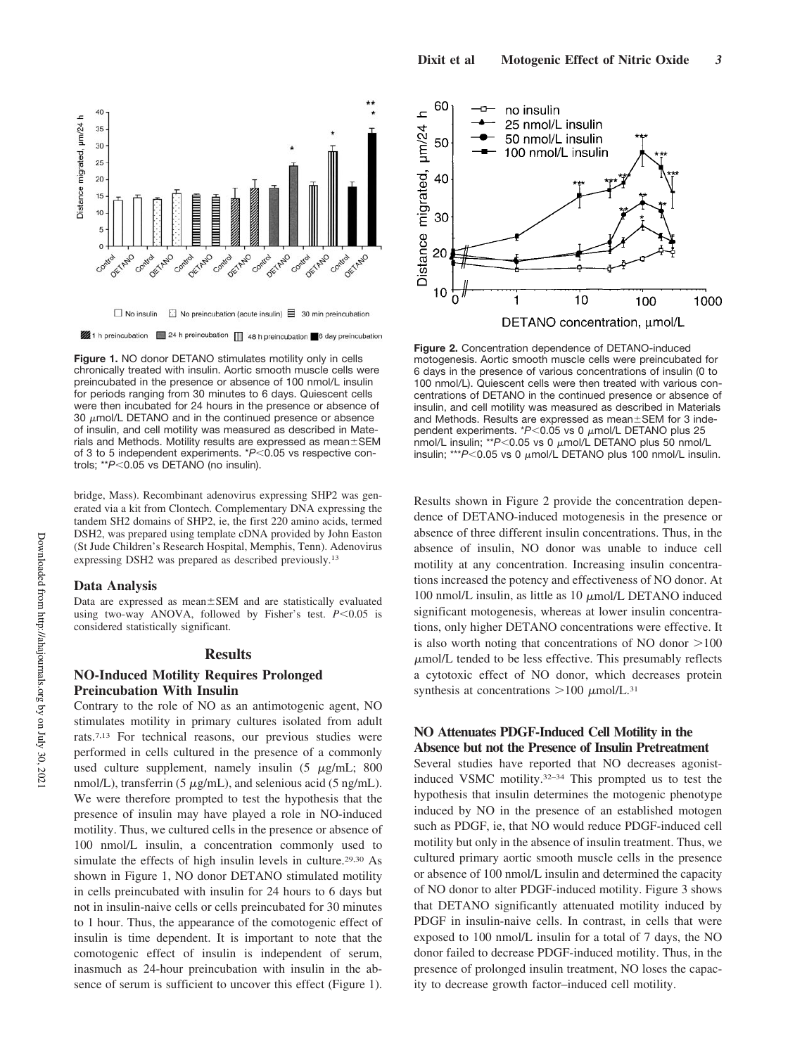

**Figure 1.** NO donor DETANO stimulates motility only in cells chronically treated with insulin. Aortic smooth muscle cells were preincubated in the presence or absence of 100 nmol/L insulin for periods ranging from 30 minutes to 6 days. Quiescent cells were then incubated for 24 hours in the presence or absence of 30  $\mu$ mol/L DETANO and in the continued presence or absence of insulin, and cell motility was measured as described in Materials and Methods. Motility results are expressed as mean $\pm$ SEM of 3 to 5 independent experiments. \*P<0.05 vs respective controls; \*\**P*<0.05 vs DETANO (no insulin).

bridge, Mass). Recombinant adenovirus expressing SHP2 was generated via a kit from Clontech. Complementary DNA expressing the tandem SH2 domains of SHP2, ie, the first 220 amino acids, termed DSH2, was prepared using template cDNA provided by John Easton (St Jude Children's Research Hospital, Memphis, Tenn). Adenovirus expressing DSH2 was prepared as described previously.<sup>13</sup>

#### **Data Analysis**

Data are expressed as mean±SEM and are statistically evaluated using two-way ANOVA, followed by Fisher's test.  $P < 0.05$  is considered statistically significant.

#### **Results**

# **NO-Induced Motility Requires Prolonged Preincubation With Insulin**

Contrary to the role of NO as an antimotogenic agent, NO stimulates motility in primary cultures isolated from adult rats.7,13 For technical reasons, our previous studies were performed in cells cultured in the presence of a commonly used culture supplement, namely insulin  $(5 \mu g/mL; 800$  $nmol/L$ ), transferrin (5  $\mu$ g/mL), and selenious acid (5 ng/mL). We were therefore prompted to test the hypothesis that the presence of insulin may have played a role in NO-induced motility. Thus, we cultured cells in the presence or absence of 100 nmol/L insulin, a concentration commonly used to simulate the effects of high insulin levels in culture.<sup>29,30</sup> As shown in Figure 1, NO donor DETANO stimulated motility in cells preincubated with insulin for 24 hours to 6 days but not in insulin-naive cells or cells preincubated for 30 minutes to 1 hour. Thus, the appearance of the comotogenic effect of insulin is time dependent. It is important to note that the comotogenic effect of insulin is independent of serum, inasmuch as 24-hour preincubation with insulin in the absence of serum is sufficient to uncover this effect (Figure 1).



**Figure 2.** Concentration dependence of DETANO-induced motogenesis. Aortic smooth muscle cells were preincubated for 6 days in the presence of various concentrations of insulin (0 to 100 nmol/L). Quiescent cells were then treated with various concentrations of DETANO in the continued presence or absence of insulin, and cell motility was measured as described in Materials and Methods. Results are expressed as mean±SEM for 3 independent experiments.  $*P< 0.05$  vs 0  $\mu$ mol/L DETANO plus 25 nmol/L insulin; \*\*P<0.05 vs 0 μmol/L DETANO plus 50 nmol/L insulin; \*\*\* $P$ <0.05 vs 0  $\mu$ mol/L DETANO plus 100 nmol/L insulin.

Results shown in Figure 2 provide the concentration dependence of DETANO-induced motogenesis in the presence or absence of three different insulin concentrations. Thus, in the absence of insulin, NO donor was unable to induce cell motility at any concentration. Increasing insulin concentrations increased the potency and effectiveness of NO donor. At 100 nmol/L insulin, as little as 10  $\mu$ mol/L DETANO induced significant motogenesis, whereas at lower insulin concentrations, only higher DETANO concentrations were effective. It is also worth noting that concentrations of NO donor  $>100$  $\mu$ mol/L tended to be less effective. This presumably reflects a cytotoxic effect of NO donor, which decreases protein synthesis at concentrations  $>100 \mu$ mol/L.<sup>31</sup>

## **NO Attenuates PDGF-Induced Cell Motility in the Absence but not the Presence of Insulin Pretreatment**

Several studies have reported that NO decreases agonistinduced VSMC motility.32–34 This prompted us to test the hypothesis that insulin determines the motogenic phenotype induced by NO in the presence of an established motogen such as PDGF, ie, that NO would reduce PDGF-induced cell motility but only in the absence of insulin treatment. Thus, we cultured primary aortic smooth muscle cells in the presence or absence of 100 nmol/L insulin and determined the capacity of NO donor to alter PDGF-induced motility. Figure 3 shows that DETANO significantly attenuated motility induced by PDGF in insulin-naive cells. In contrast, in cells that were exposed to 100 nmol/L insulin for a total of 7 days, the NO donor failed to decrease PDGF-induced motility. Thus, in the presence of prolonged insulin treatment, NO loses the capacity to decrease growth factor–induced cell motility.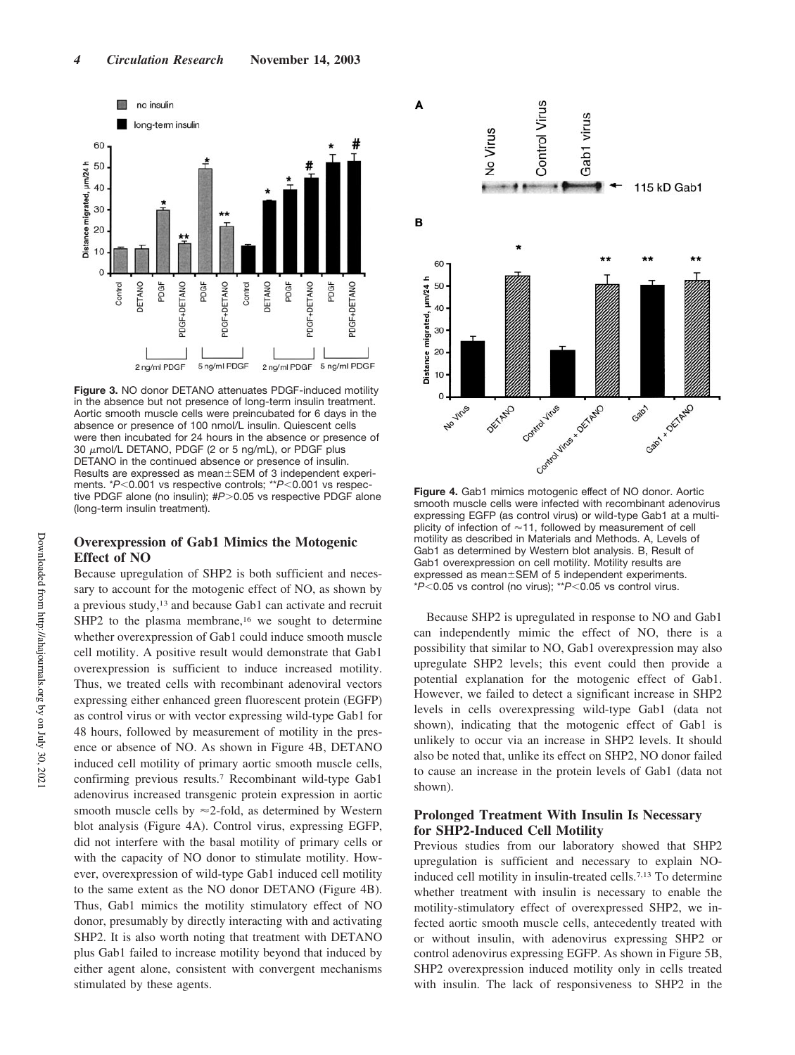

**Figure 3.** NO donor DETANO attenuates PDGF-induced motility in the absence but not presence of long-term insulin treatment. Aortic smooth muscle cells were preincubated for 6 days in the absence or presence of 100 nmol/L insulin. Quiescent cells were then incubated for 24 hours in the absence or presence of 30  $\mu$ mol/L DETANO, PDGF (2 or 5 ng/mL), or PDGF plus DETANO in the continued absence or presence of insulin. Results are expressed as mean ± SEM of 3 independent experiments. \**P*<0.001 vs respective controls; \*\**P*<0.001 vs respective PDGF alone (no insulin); #P>0.05 vs respective PDGF alone (long-term insulin treatment).

# **Overexpression of Gab1 Mimics the Motogenic Effect of NO**

Because upregulation of SHP2 is both sufficient and necessary to account for the motogenic effect of NO, as shown by a previous study,<sup>13</sup> and because Gab1 can activate and recruit SHP2 to the plasma membrane,<sup>16</sup> we sought to determine whether overexpression of Gab1 could induce smooth muscle cell motility. A positive result would demonstrate that Gab1 overexpression is sufficient to induce increased motility. Thus, we treated cells with recombinant adenoviral vectors expressing either enhanced green fluorescent protein (EGFP) as control virus or with vector expressing wild-type Gab1 for 48 hours, followed by measurement of motility in the presence or absence of NO. As shown in Figure 4B, DETANO induced cell motility of primary aortic smooth muscle cells, confirming previous results.<sup>7</sup> Recombinant wild-type Gab1 adenovirus increased transgenic protein expression in aortic smooth muscle cells by  $\approx$  2-fold, as determined by Western blot analysis (Figure 4A). Control virus, expressing EGFP, did not interfere with the basal motility of primary cells or with the capacity of NO donor to stimulate motility. However, overexpression of wild-type Gab1 induced cell motility to the same extent as the NO donor DETANO (Figure 4B). Thus, Gab1 mimics the motility stimulatory effect of NO donor, presumably by directly interacting with and activating SHP2. It is also worth noting that treatment with DETANO plus Gab1 failed to increase motility beyond that induced by either agent alone, consistent with convergent mechanisms stimulated by these agents.



**Figure 4.** Gab1 mimics motogenic effect of NO donor. Aortic smooth muscle cells were infected with recombinant adenovirus expressing EGFP (as control virus) or wild-type Gab1 at a multiplicity of infection of  $\approx$  11, followed by measurement of cell motility as described in Materials and Methods. A, Levels of Gab1 as determined by Western blot analysis. B, Result of Gab1 overexpression on cell motility. Motility results are expressed as mean±SEM of 5 independent experiments. \* $P$ <0.05 vs control (no virus); \*\* $P$ <0.05 vs control virus.

Because SHP2 is upregulated in response to NO and Gab1 can independently mimic the effect of NO, there is a possibility that similar to NO, Gab1 overexpression may also upregulate SHP2 levels; this event could then provide a potential explanation for the motogenic effect of Gab1. However, we failed to detect a significant increase in SHP2 levels in cells overexpressing wild-type Gab1 (data not shown), indicating that the motogenic effect of Gab1 is unlikely to occur via an increase in SHP2 levels. It should also be noted that, unlike its effect on SHP2, NO donor failed to cause an increase in the protein levels of Gab1 (data not shown).

## **Prolonged Treatment With Insulin Is Necessary for SHP2-Induced Cell Motility**

Previous studies from our laboratory showed that SHP2 upregulation is sufficient and necessary to explain NOinduced cell motility in insulin-treated cells.7,13 To determine whether treatment with insulin is necessary to enable the motility-stimulatory effect of overexpressed SHP2, we infected aortic smooth muscle cells, antecedently treated with or without insulin, with adenovirus expressing SHP2 or control adenovirus expressing EGFP. As shown in Figure 5B, SHP2 overexpression induced motility only in cells treated with insulin. The lack of responsiveness to SHP2 in the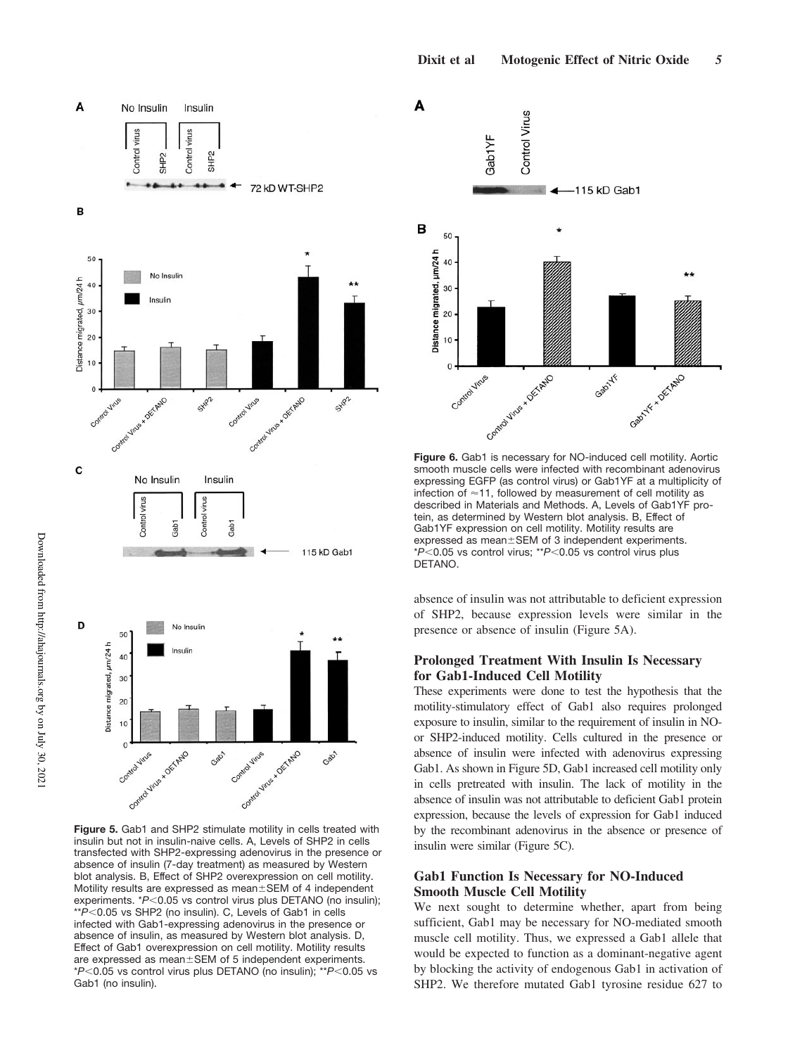



**Figure 5.** Gab1 and SHP2 stimulate motility in cells treated with insulin but not in insulin-naive cells. A, Levels of SHP2 in cells transfected with SHP2-expressing adenovirus in the presence or absence of insulin (7-day treatment) as measured by Western blot analysis. B, Effect of SHP2 overexpression on cell motility. Motility results are expressed as mean±SEM of 4 independent experiments. \* $P$ <0.05 vs control virus plus DETANO (no insulin); \*\* $P$  < 0.05 vs SHP2 (no insulin). C, Levels of Gab1 in cells infected with Gab1-expressing adenovirus in the presence or absence of insulin, as measured by Western blot analysis. D, Effect of Gab1 overexpression on cell motility. Motility results are expressed as mean±SEM of 5 independent experiments. \* $P$ <0.05 vs control virus plus DETANO (no insulin); \*\* $P$ <0.05 vs Gab1 (no insulin).



**Figure 6.** Gab1 is necessary for NO-induced cell motility. Aortic smooth muscle cells were infected with recombinant adenovirus expressing EGFP (as control virus) or Gab1YF at a multiplicity of infection of  $\approx$  11, followed by measurement of cell motility as described in Materials and Methods. A, Levels of Gab1YF protein, as determined by Western blot analysis. B, Effect of Gab1YF expression on cell motility. Motility results are expressed as mean±SEM of 3 independent experiments. \**P*<0.05 vs control virus; \*\**P*<0.05 vs control virus plus DETANO.

absence of insulin was not attributable to deficient expression of SHP2, because expression levels were similar in the presence or absence of insulin (Figure 5A).

## **Prolonged Treatment With Insulin Is Necessary for Gab1-Induced Cell Motility**

These experiments were done to test the hypothesis that the motility-stimulatory effect of Gab1 also requires prolonged exposure to insulin, similar to the requirement of insulin in NOor SHP2-induced motility. Cells cultured in the presence or absence of insulin were infected with adenovirus expressing Gab1. As shown in Figure 5D, Gab1 increased cell motility only in cells pretreated with insulin. The lack of motility in the absence of insulin was not attributable to deficient Gab1 protein expression, because the levels of expression for Gab1 induced by the recombinant adenovirus in the absence or presence of insulin were similar (Figure 5C).

## **Gab1 Function Is Necessary for NO-Induced Smooth Muscle Cell Motility**

We next sought to determine whether, apart from being sufficient, Gab1 may be necessary for NO-mediated smooth muscle cell motility. Thus, we expressed a Gab1 allele that would be expected to function as a dominant-negative agent by blocking the activity of endogenous Gab1 in activation of SHP2. We therefore mutated Gab1 tyrosine residue 627 to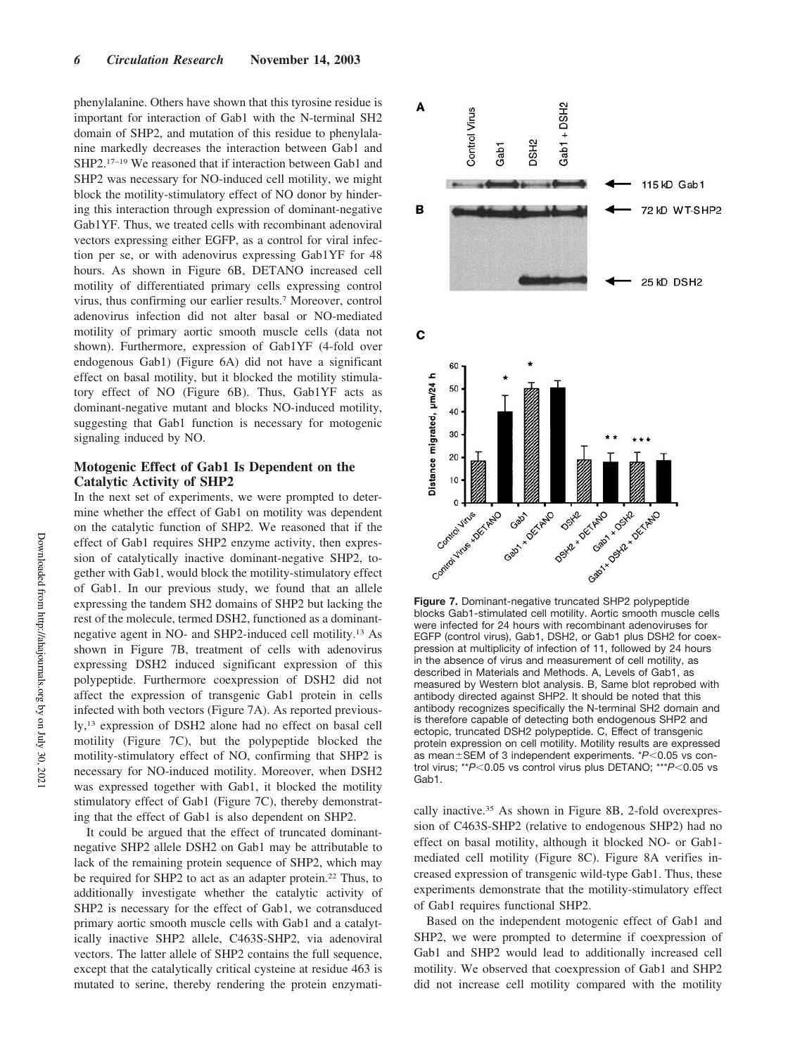phenylalanine. Others have shown that this tyrosine residue is important for interaction of Gab1 with the N-terminal SH2 domain of SHP2, and mutation of this residue to phenylalanine markedly decreases the interaction between Gab1 and SHP2.17–19 We reasoned that if interaction between Gab1 and SHP2 was necessary for NO-induced cell motility, we might block the motility-stimulatory effect of NO donor by hindering this interaction through expression of dominant-negative Gab1YF. Thus, we treated cells with recombinant adenoviral vectors expressing either EGFP, as a control for viral infection per se, or with adenovirus expressing Gab1YF for 48 hours. As shown in Figure 6B, DETANO increased cell motility of differentiated primary cells expressing control virus, thus confirming our earlier results.<sup>7</sup> Moreover, control adenovirus infection did not alter basal or NO-mediated motility of primary aortic smooth muscle cells (data not shown). Furthermore, expression of Gab1YF (4-fold over endogenous Gab1) (Figure 6A) did not have a significant effect on basal motility, but it blocked the motility stimulatory effect of NO (Figure 6B). Thus, Gab1YF acts as dominant-negative mutant and blocks NO-induced motility, suggesting that Gab1 function is necessary for motogenic signaling induced by NO.

## **Motogenic Effect of Gab1 Is Dependent on the Catalytic Activity of SHP2**

In the next set of experiments, we were prompted to determine whether the effect of Gab1 on motility was dependent on the catalytic function of SHP2. We reasoned that if the effect of Gab1 requires SHP2 enzyme activity, then expression of catalytically inactive dominant-negative SHP2, together with Gab1, would block the motility-stimulatory effect of Gab1. In our previous study, we found that an allele expressing the tandem SH2 domains of SHP2 but lacking the rest of the molecule, termed DSH2, functioned as a dominantnegative agent in NO- and SHP2-induced cell motility.<sup>13</sup> As shown in Figure 7B, treatment of cells with adenovirus expressing DSH2 induced significant expression of this polypeptide. Furthermore coexpression of DSH2 did not affect the expression of transgenic Gab1 protein in cells infected with both vectors (Figure 7A). As reported previously,<sup>13</sup> expression of DSH2 alone had no effect on basal cell motility (Figure 7C), but the polypeptide blocked the motility-stimulatory effect of NO, confirming that SHP2 is necessary for NO-induced motility. Moreover, when DSH2 was expressed together with Gab1, it blocked the motility stimulatory effect of Gab1 (Figure 7C), thereby demonstrating that the effect of Gab1 is also dependent on SHP2.

It could be argued that the effect of truncated dominantnegative SHP2 allele DSH2 on Gab1 may be attributable to lack of the remaining protein sequence of SHP2, which may be required for SHP2 to act as an adapter protein.<sup>22</sup> Thus, to additionally investigate whether the catalytic activity of SHP2 is necessary for the effect of Gab1, we cotransduced primary aortic smooth muscle cells with Gab1 and a catalytically inactive SHP2 allele, C463S-SHP2, via adenoviral vectors. The latter allele of SHP2 contains the full sequence, except that the catalytically critical cysteine at residue 463 is mutated to serine, thereby rendering the protein enzymati-



**Figure 7.** Dominant-negative truncated SHP2 polypeptide blocks Gab1-stimulated cell motility. Aortic smooth muscle cells were infected for 24 hours with recombinant adenoviruses for EGFP (control virus), Gab1, DSH2, or Gab1 plus DSH2 for coexpression at multiplicity of infection of 11, followed by 24 hours in the absence of virus and measurement of cell motility, as described in Materials and Methods. A, Levels of Gab1, as measured by Western blot analysis. B, Same blot reprobed with antibody directed against SHP2. It should be noted that this antibody recognizes specifically the N-terminal SH2 domain and is therefore capable of detecting both endogenous SHP2 and ectopic, truncated DSH2 polypeptide. C, Effect of transgenic protein expression on cell motility. Motility results are expressed as mean±SEM of 3 independent experiments. \*P<0.05 vs control virus; \*\**P*<0.05 vs control virus plus DETANO; \*\*\**P*<0.05 vs Gab1.

cally inactive.<sup>35</sup> As shown in Figure 8B, 2-fold overexpression of C463S-SHP2 (relative to endogenous SHP2) had no effect on basal motility, although it blocked NO- or Gab1 mediated cell motility (Figure 8C). Figure 8A verifies increased expression of transgenic wild-type Gab1. Thus, these experiments demonstrate that the motility-stimulatory effect of Gab1 requires functional SHP2.

Based on the independent motogenic effect of Gab1 and SHP2, we were prompted to determine if coexpression of Gab1 and SHP2 would lead to additionally increased cell motility. We observed that coexpression of Gab1 and SHP2 did not increase cell motility compared with the motility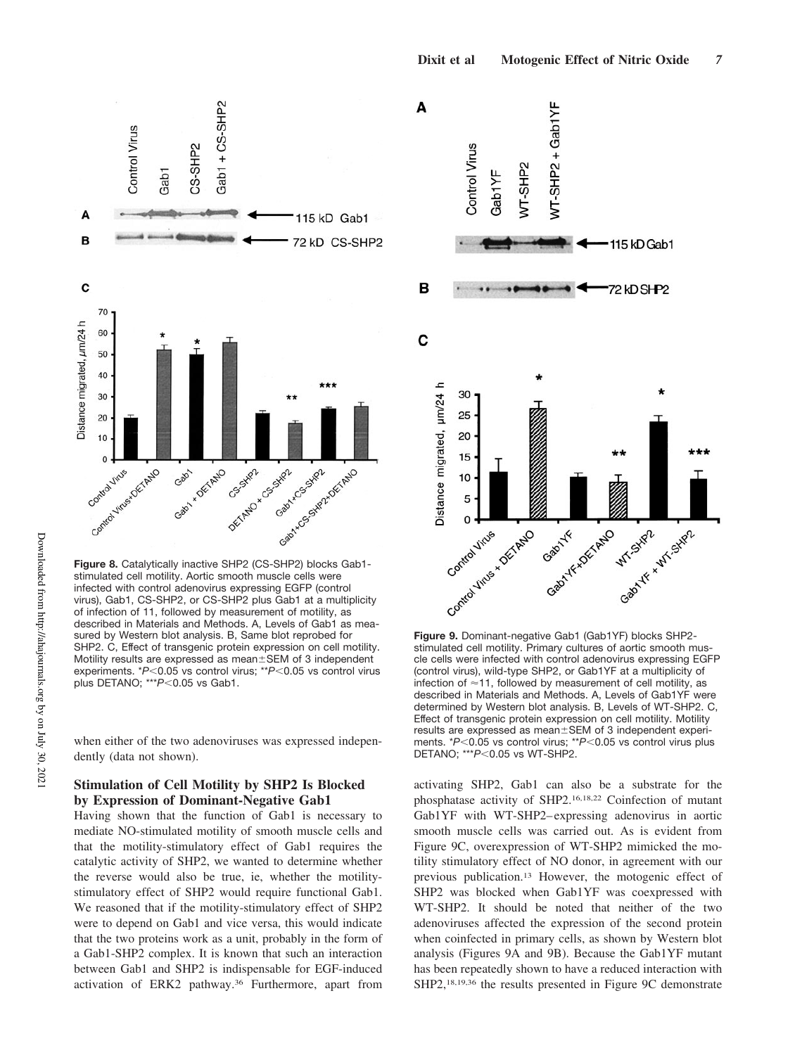

**Figure 8.** Catalytically inactive SHP2 (CS-SHP2) blocks Gab1 stimulated cell motility. Aortic smooth muscle cells were infected with control adenovirus expressing EGFP (control virus), Gab1, CS-SHP2, or CS-SHP2 plus Gab1 at a multiplicity of infection of 11, followed by measurement of motility, as described in Materials and Methods. A, Levels of Gab1 as measured by Western blot analysis. B, Same blot reprobed for SHP2. C, Effect of transgenic protein expression on cell motility. Motility results are expressed as mean±SEM of 3 independent experiments. \**P*<0.05 vs control virus; \*\**P*<0.05 vs control virus plus DETANO; \*\*\**P*<0.05 vs Gab1.

when either of the two adenoviruses was expressed independently (data not shown).

# **Stimulation of Cell Motility by SHP2 Is Blocked by Expression of Dominant-Negative Gab1**

Having shown that the function of Gab1 is necessary to mediate NO-stimulated motility of smooth muscle cells and that the motility-stimulatory effect of Gab1 requires the catalytic activity of SHP2, we wanted to determine whether the reverse would also be true, ie, whether the motilitystimulatory effect of SHP2 would require functional Gab1. We reasoned that if the motility-stimulatory effect of SHP2 were to depend on Gab1 and vice versa, this would indicate that the two proteins work as a unit, probably in the form of a Gab1-SHP2 complex. It is known that such an interaction between Gab1 and SHP2 is indispensable for EGF-induced activation of ERK2 pathway.<sup>36</sup> Furthermore, apart from



**Figure 9.** Dominant-negative Gab1 (Gab1YF) blocks SHP2 stimulated cell motility. Primary cultures of aortic smooth muscle cells were infected with control adenovirus expressing EGFP (control virus), wild-type SHP2, or Gab1YF at a multiplicity of infection of  $\approx$  11, followed by measurement of cell motility, as described in Materials and Methods. A, Levels of Gab1YF were determined by Western blot analysis. B, Levels of WT-SHP2. C, Effect of transgenic protein expression on cell motility. Motility results are expressed as mean ±SEM of 3 independent experiments. \**P*<0.05 vs control virus; \*\**P*<0.05 vs control virus plus DETANO; \*\*\* $P$ <0.05 vs WT-SHP2.

activating SHP2, Gab1 can also be a substrate for the phosphatase activity of SHP2.16,18,22 Coinfection of mutant Gab1YF with WT-SHP2–expressing adenovirus in aortic smooth muscle cells was carried out. As is evident from Figure 9C, overexpression of WT-SHP2 mimicked the motility stimulatory effect of NO donor, in agreement with our previous publication.<sup>13</sup> However, the motogenic effect of SHP2 was blocked when Gab1YF was coexpressed with WT-SHP2. It should be noted that neither of the two adenoviruses affected the expression of the second protein when coinfected in primary cells, as shown by Western blot analysis (Figures 9A and 9B). Because the Gab1YF mutant has been repeatedly shown to have a reduced interaction with SHP2,18,19,36 the results presented in Figure 9C demonstrate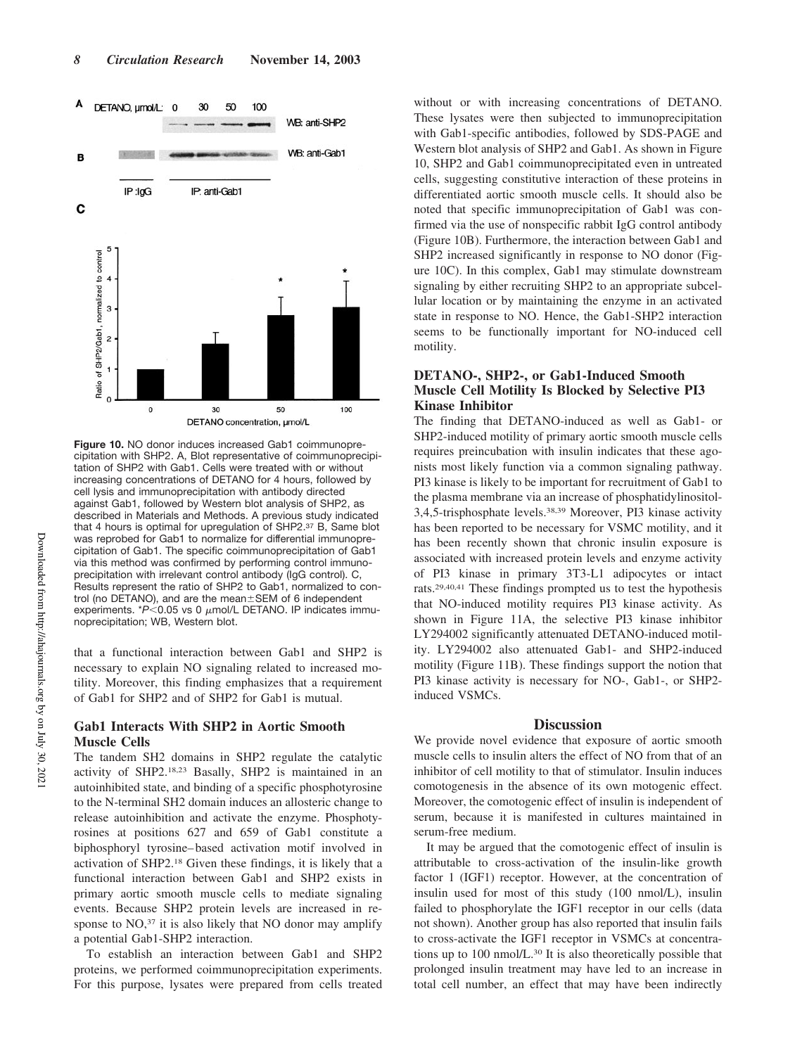

**Figure 10.** NO donor induces increased Gab1 coimmunoprecipitation with SHP2. A, Blot representative of coimmunoprecipitation of SHP2 with Gab1. Cells were treated with or without increasing concentrations of DETANO for 4 hours, followed by cell lysis and immunoprecipitation with antibody directed against Gab1, followed by Western blot analysis of SHP2, as described in Materials and Methods. A previous study indicated that 4 hours is optimal for upregulation of SHP2.<sup>37</sup> B, Same blot was reprobed for Gab1 to normalize for differential immunoprecipitation of Gab1. The specific coimmunoprecipitation of Gab1 via this method was confirmed by performing control immunoprecipitation with irrelevant control antibody (IgG control). C, Results represent the ratio of SHP2 to Gab1, normalized to control (no DETANO), and are the mean $\pm$ SEM of 6 independent experiments.  $*P$ <0.05 vs 0  $\mu$ mol/L DETANO. IP indicates immunoprecipitation; WB, Western blot.

that a functional interaction between Gab1 and SHP2 is necessary to explain NO signaling related to increased motility. Moreover, this finding emphasizes that a requirement of Gab1 for SHP2 and of SHP2 for Gab1 is mutual.

## **Gab1 Interacts With SHP2 in Aortic Smooth Muscle Cells**

The tandem SH2 domains in SHP2 regulate the catalytic activity of SHP2.18,23 Basally, SHP2 is maintained in an autoinhibited state, and binding of a specific phosphotyrosine to the N-terminal SH2 domain induces an allosteric change to release autoinhibition and activate the enzyme. Phosphotyrosines at positions 627 and 659 of Gab1 constitute a biphosphoryl tyrosine–based activation motif involved in activation of SHP2.<sup>18</sup> Given these findings, it is likely that a functional interaction between Gab1 and SHP2 exists in primary aortic smooth muscle cells to mediate signaling events. Because SHP2 protein levels are increased in response to NO,<sup>37</sup> it is also likely that NO donor may amplify a potential Gab1-SHP2 interaction.

To establish an interaction between Gab1 and SHP2 proteins, we performed coimmunoprecipitation experiments. For this purpose, lysates were prepared from cells treated

without or with increasing concentrations of DETANO. These lysates were then subjected to immunoprecipitation with Gab1-specific antibodies, followed by SDS-PAGE and Western blot analysis of SHP2 and Gab1. As shown in Figure 10, SHP2 and Gab1 coimmunoprecipitated even in untreated cells, suggesting constitutive interaction of these proteins in differentiated aortic smooth muscle cells. It should also be noted that specific immunoprecipitation of Gab1 was confirmed via the use of nonspecific rabbit IgG control antibody (Figure 10B). Furthermore, the interaction between Gab1 and SHP2 increased significantly in response to NO donor (Figure 10C). In this complex, Gab1 may stimulate downstream signaling by either recruiting SHP2 to an appropriate subcellular location or by maintaining the enzyme in an activated state in response to NO. Hence, the Gab1-SHP2 interaction seems to be functionally important for NO-induced cell motility.

## **DETANO-, SHP2-, or Gab1-Induced Smooth Muscle Cell Motility Is Blocked by Selective PI3 Kinase Inhibitor**

The finding that DETANO-induced as well as Gab1- or SHP2-induced motility of primary aortic smooth muscle cells requires preincubation with insulin indicates that these agonists most likely function via a common signaling pathway. PI3 kinase is likely to be important for recruitment of Gab1 to the plasma membrane via an increase of phosphatidylinositol-3,4,5-trisphosphate levels.38,39 Moreover, PI3 kinase activity has been reported to be necessary for VSMC motility, and it has been recently shown that chronic insulin exposure is associated with increased protein levels and enzyme activity of PI3 kinase in primary 3T3-L1 adipocytes or intact rats.29,40,41 These findings prompted us to test the hypothesis that NO-induced motility requires PI3 kinase activity. As shown in Figure 11A, the selective PI3 kinase inhibitor LY294002 significantly attenuated DETANO-induced motility. LY294002 also attenuated Gab1- and SHP2-induced motility (Figure 11B). These findings support the notion that PI3 kinase activity is necessary for NO-, Gab1-, or SHP2 induced VSMCs.

#### **Discussion**

We provide novel evidence that exposure of aortic smooth muscle cells to insulin alters the effect of NO from that of an inhibitor of cell motility to that of stimulator. Insulin induces comotogenesis in the absence of its own motogenic effect. Moreover, the comotogenic effect of insulin is independent of serum, because it is manifested in cultures maintained in serum-free medium.

It may be argued that the comotogenic effect of insulin is attributable to cross-activation of the insulin-like growth factor 1 (IGF1) receptor. However, at the concentration of insulin used for most of this study (100 nmol/L), insulin failed to phosphorylate the IGF1 receptor in our cells (data not shown). Another group has also reported that insulin fails to cross-activate the IGF1 receptor in VSMCs at concentrations up to 100 nmol/L.<sup>30</sup> It is also theoretically possible that prolonged insulin treatment may have led to an increase in total cell number, an effect that may have been indirectly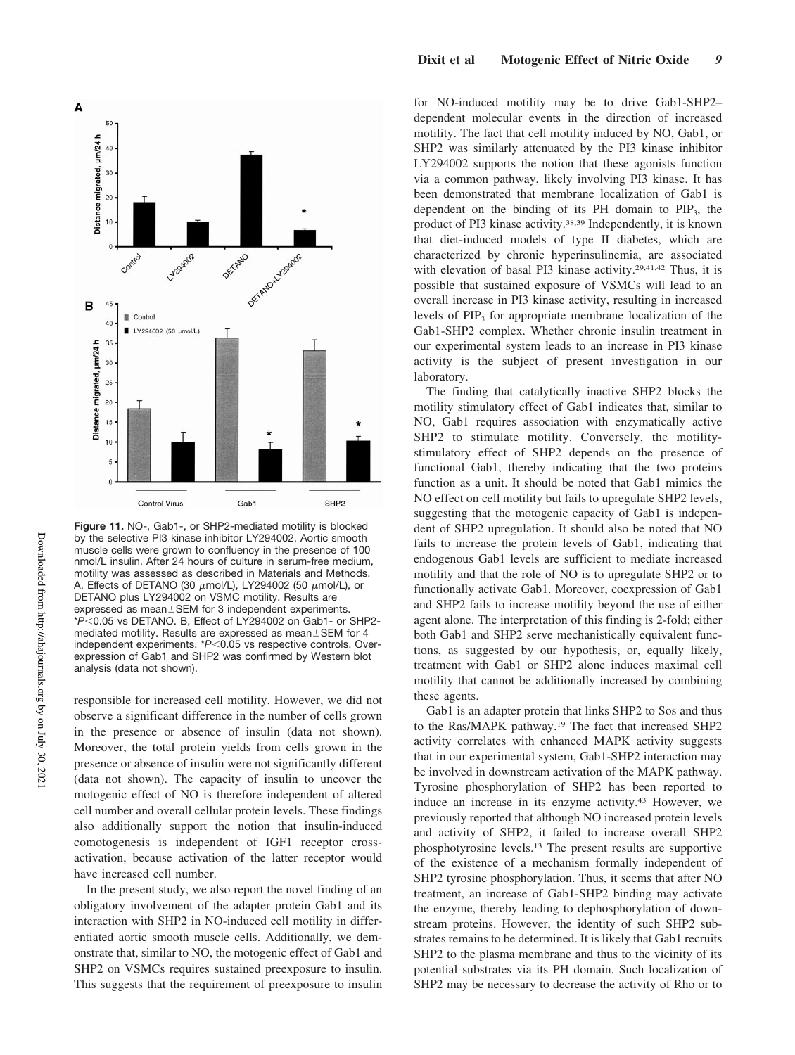

**Figure 11.** NO-, Gab1-, or SHP2-mediated motility is blocked by the selective PI3 kinase inhibitor LY294002. Aortic smooth muscle cells were grown to confluency in the presence of 100 nmol/L insulin. After 24 hours of culture in serum-free medium, motility was assessed as described in Materials and Methods. A, Effects of DETANO (30  $\mu$ mol/L), LY294002 (50  $\mu$ mol/L), or DETANO plus LY294002 on VSMC motility. Results are expressed as mean±SEM for 3 independent experiments. \**P*0.05 vs DETANO. B, Effect of LY294002 on Gab1- or SHP2 mediated motility. Results are expressed as mean $\pm$ SEM for 4 independent experiments. \**P*<0.05 vs respective controls. Overexpression of Gab1 and SHP2 was confirmed by Western blot analysis (data not shown).

responsible for increased cell motility. However, we did not observe a significant difference in the number of cells grown in the presence or absence of insulin (data not shown). Moreover, the total protein yields from cells grown in the presence or absence of insulin were not significantly different (data not shown). The capacity of insulin to uncover the motogenic effect of NO is therefore independent of altered cell number and overall cellular protein levels. These findings also additionally support the notion that insulin-induced comotogenesis is independent of IGF1 receptor crossactivation, because activation of the latter receptor would have increased cell number.

In the present study, we also report the novel finding of an obligatory involvement of the adapter protein Gab1 and its interaction with SHP2 in NO-induced cell motility in differentiated aortic smooth muscle cells. Additionally, we demonstrate that, similar to NO, the motogenic effect of Gab1 and SHP2 on VSMCs requires sustained preexposure to insulin. This suggests that the requirement of preexposure to insulin

for NO-induced motility may be to drive Gab1-SHP2– dependent molecular events in the direction of increased motility. The fact that cell motility induced by NO, Gab1, or SHP2 was similarly attenuated by the PI3 kinase inhibitor LY294002 supports the notion that these agonists function via a common pathway, likely involving PI3 kinase. It has been demonstrated that membrane localization of Gab1 is dependent on the binding of its  $PH$  domain to  $PIP_3$ , the product of PI3 kinase activity.38,39 Independently, it is known that diet-induced models of type II diabetes, which are characterized by chronic hyperinsulinemia, are associated with elevation of basal PI3 kinase activity.<sup>29,41,42</sup> Thus, it is possible that sustained exposure of VSMCs will lead to an overall increase in PI3 kinase activity, resulting in increased levels of PIP<sub>3</sub> for appropriate membrane localization of the Gab1-SHP2 complex. Whether chronic insulin treatment in our experimental system leads to an increase in PI3 kinase activity is the subject of present investigation in our laboratory.

The finding that catalytically inactive SHP2 blocks the motility stimulatory effect of Gab1 indicates that, similar to NO, Gab1 requires association with enzymatically active SHP2 to stimulate motility. Conversely, the motilitystimulatory effect of SHP2 depends on the presence of functional Gab1, thereby indicating that the two proteins function as a unit. It should be noted that Gab1 mimics the NO effect on cell motility but fails to upregulate SHP2 levels, suggesting that the motogenic capacity of Gab1 is independent of SHP2 upregulation. It should also be noted that NO fails to increase the protein levels of Gab1, indicating that endogenous Gab1 levels are sufficient to mediate increased motility and that the role of NO is to upregulate SHP2 or to functionally activate Gab1. Moreover, coexpression of Gab1 and SHP2 fails to increase motility beyond the use of either agent alone. The interpretation of this finding is 2-fold; either both Gab1 and SHP2 serve mechanistically equivalent functions, as suggested by our hypothesis, or, equally likely, treatment with Gab1 or SHP2 alone induces maximal cell motility that cannot be additionally increased by combining these agents.

Gab1 is an adapter protein that links SHP2 to Sos and thus to the Ras/MAPK pathway.<sup>19</sup> The fact that increased SHP2 activity correlates with enhanced MAPK activity suggests that in our experimental system, Gab1-SHP2 interaction may be involved in downstream activation of the MAPK pathway. Tyrosine phosphorylation of SHP2 has been reported to induce an increase in its enzyme activity.<sup>43</sup> However, we previously reported that although NO increased protein levels and activity of SHP2, it failed to increase overall SHP2 phosphotyrosine levels.<sup>13</sup> The present results are supportive of the existence of a mechanism formally independent of SHP2 tyrosine phosphorylation. Thus, it seems that after NO treatment, an increase of Gab1-SHP2 binding may activate the enzyme, thereby leading to dephosphorylation of downstream proteins. However, the identity of such SHP2 substrates remains to be determined. It is likely that Gab1 recruits SHP2 to the plasma membrane and thus to the vicinity of its potential substrates via its PH domain. Such localization of SHP2 may be necessary to decrease the activity of Rho or to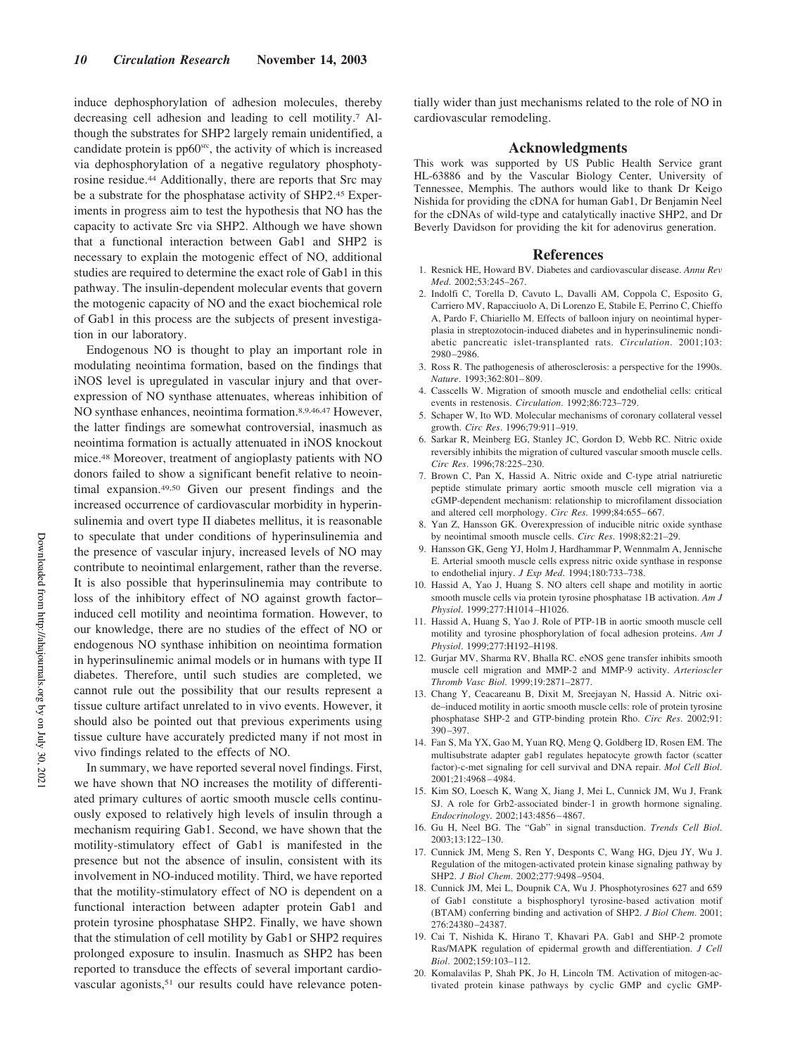induce dephosphorylation of adhesion molecules, thereby decreasing cell adhesion and leading to cell motility.<sup>7</sup> Although the substrates for SHP2 largely remain unidentified, a candidate protein is  $pp60<sup>src</sup>$ , the activity of which is increased via dephosphorylation of a negative regulatory phosphotyrosine residue.<sup>44</sup> Additionally, there are reports that Src may be a substrate for the phosphatase activity of SHP2.<sup>45</sup> Experiments in progress aim to test the hypothesis that NO has the capacity to activate Src via SHP2. Although we have shown that a functional interaction between Gab1 and SHP2 is necessary to explain the motogenic effect of NO, additional studies are required to determine the exact role of Gab1 in this pathway. The insulin-dependent molecular events that govern the motogenic capacity of NO and the exact biochemical role of Gab1 in this process are the subjects of present investigation in our laboratory.

Endogenous NO is thought to play an important role in modulating neointima formation, based on the findings that iNOS level is upregulated in vascular injury and that overexpression of NO synthase attenuates, whereas inhibition of NO synthase enhances, neointima formation.8,9,46,47 However, the latter findings are somewhat controversial, inasmuch as neointima formation is actually attenuated in iNOS knockout mice.<sup>48</sup> Moreover, treatment of angioplasty patients with NO donors failed to show a significant benefit relative to neointimal expansion.49,50 Given our present findings and the increased occurrence of cardiovascular morbidity in hyperinsulinemia and overt type II diabetes mellitus, it is reasonable to speculate that under conditions of hyperinsulinemia and the presence of vascular injury, increased levels of NO may contribute to neointimal enlargement, rather than the reverse. It is also possible that hyperinsulinemia may contribute to loss of the inhibitory effect of NO against growth factor– induced cell motility and neointima formation. However, to our knowledge, there are no studies of the effect of NO or endogenous NO synthase inhibition on neointima formation in hyperinsulinemic animal models or in humans with type II diabetes. Therefore, until such studies are completed, we cannot rule out the possibility that our results represent a tissue culture artifact unrelated to in vivo events. However, it should also be pointed out that previous experiments using tissue culture have accurately predicted many if not most in vivo findings related to the effects of NO.

In summary, we have reported several novel findings. First, we have shown that NO increases the motility of differentiated primary cultures of aortic smooth muscle cells continuously exposed to relatively high levels of insulin through a mechanism requiring Gab1. Second, we have shown that the motility-stimulatory effect of Gab1 is manifested in the presence but not the absence of insulin, consistent with its involvement in NO-induced motility. Third, we have reported that the motility-stimulatory effect of NO is dependent on a functional interaction between adapter protein Gab1 and protein tyrosine phosphatase SHP2. Finally, we have shown that the stimulation of cell motility by Gab1 or SHP2 requires prolonged exposure to insulin. Inasmuch as SHP2 has been reported to transduce the effects of several important cardiovascular agonists,<sup>51</sup> our results could have relevance potentially wider than just mechanisms related to the role of NO in cardiovascular remodeling.

#### **Acknowledgments**

This work was supported by US Public Health Service grant HL-63886 and by the Vascular Biology Center, University of Tennessee, Memphis. The authors would like to thank Dr Keigo Nishida for providing the cDNA for human Gab1, Dr Benjamin Neel for the cDNAs of wild-type and catalytically inactive SHP2, and Dr Beverly Davidson for providing the kit for adenovirus generation.

#### **References**

- 1. Resnick HE, Howard BV. Diabetes and cardiovascular disease. *Annu Rev Med*. 2002;53:245–267.
- 2. Indolfi C, Torella D, Cavuto L, Davalli AM, Coppola C, Esposito G, Carriero MV, Rapacciuolo A, Di Lorenzo E, Stabile E, Perrino C, Chieffo A, Pardo F, Chiariello M. Effects of balloon injury on neointimal hyperplasia in streptozotocin-induced diabetes and in hyperinsulinemic nondiabetic pancreatic islet-transplanted rats. *Circulation*. 2001;103: 2980–2986.
- 3. Ross R. The pathogenesis of atherosclerosis: a perspective for the 1990s. *Nature*. 1993;362:801–809.
- 4. Casscells W. Migration of smooth muscle and endothelial cells: critical events in restenosis. *Circulation*. 1992;86:723–729.
- 5. Schaper W, Ito WD. Molecular mechanisms of coronary collateral vessel growth. *Circ Res*. 1996;79:911–919.
- 6. Sarkar R, Meinberg EG, Stanley JC, Gordon D, Webb RC. Nitric oxide reversibly inhibits the migration of cultured vascular smooth muscle cells. *Circ Res*. 1996;78:225–230.
- 7. Brown C, Pan X, Hassid A. Nitric oxide and C-type atrial natriuretic peptide stimulate primary aortic smooth muscle cell migration via a cGMP-dependent mechanism: relationship to microfilament dissociation and altered cell morphology. *Circ Res*. 1999;84:655–667.
- 8. Yan Z, Hansson GK. Overexpression of inducible nitric oxide synthase by neointimal smooth muscle cells. *Circ Res*. 1998;82:21–29.
- 9. Hansson GK, Geng YJ, Holm J, Hardhammar P, Wennmalm A, Jennische E. Arterial smooth muscle cells express nitric oxide synthase in response to endothelial injury. *J Exp Med*. 1994;180:733–738.
- 10. Hassid A, Yao J, Huang S. NO alters cell shape and motility in aortic smooth muscle cells via protein tyrosine phosphatase 1B activation. *Am J Physiol*. 1999;277:H1014–H1026.
- 11. Hassid A, Huang S, Yao J. Role of PTP-1B in aortic smooth muscle cell motility and tyrosine phosphorylation of focal adhesion proteins. *Am J Physiol*. 1999;277:H192–H198.
- 12. Gurjar MV, Sharma RV, Bhalla RC. eNOS gene transfer inhibits smooth muscle cell migration and MMP-2 and MMP-9 activity. *Arterioscler Thromb Vasc Biol*. 1999;19:2871–2877.
- 13. Chang Y, Ceacareanu B, Dixit M, Sreejayan N, Hassid A. Nitric oxide–induced motility in aortic smooth muscle cells: role of protein tyrosine phosphatase SHP-2 and GTP-binding protein Rho. *Circ Res*. 2002;91: 390–397.
- 14. Fan S, Ma YX, Gao M, Yuan RQ, Meng Q, Goldberg ID, Rosen EM. The multisubstrate adapter gab1 regulates hepatocyte growth factor (scatter factor)-c-met signaling for cell survival and DNA repair. *Mol Cell Biol*. 2001;21:4968–4984.
- 15. Kim SO, Loesch K, Wang X, Jiang J, Mei L, Cunnick JM, Wu J, Frank SJ. A role for Grb2-associated binder-1 in growth hormone signaling. *Endocrinology*. 2002;143:4856–4867.
- 16. Gu H, Neel BG. The "Gab" in signal transduction. *Trends Cell Biol*. 2003;13:122–130.
- 17. Cunnick JM, Meng S, Ren Y, Desponts C, Wang HG, Djeu JY, Wu J. Regulation of the mitogen-activated protein kinase signaling pathway by SHP2. *J Biol Chem*. 2002;277:9498–9504.
- 18. Cunnick JM, Mei L, Doupnik CA, Wu J. Phosphotyrosines 627 and 659 of Gab1 constitute a bisphosphoryl tyrosine-based activation motif (BTAM) conferring binding and activation of SHP2. *J Biol Chem*. 2001; 276:24380–24387.
- 19. Cai T, Nishida K, Hirano T, Khavari PA. Gab1 and SHP-2 promote Ras/MAPK regulation of epidermal growth and differentiation. *J Cell Biol*. 2002;159:103–112.
- 20. Komalavilas P, Shah PK, Jo H, Lincoln TM. Activation of mitogen-activated protein kinase pathways by cyclic GMP and cyclic GMP-